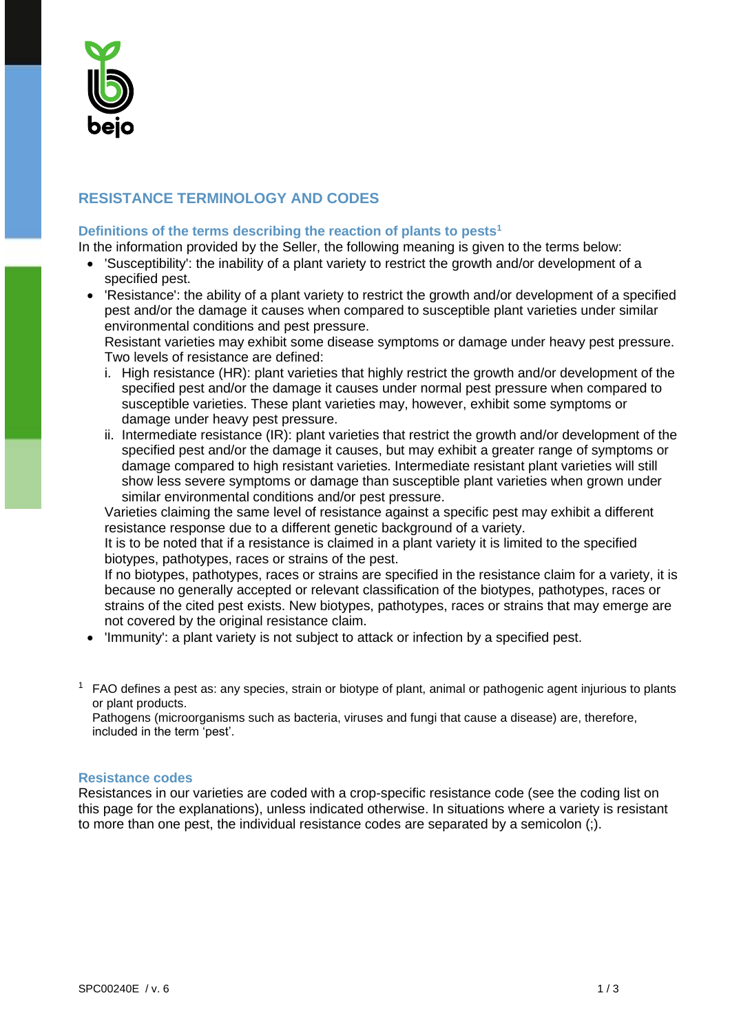

## **RESISTANCE TERMINOLOGY AND CODES**

## **Definitions of the terms describing the reaction of plants to pests<sup>1</sup>**

In the information provided by the Seller, the following meaning is given to the terms below:

- 'Susceptibility': the inability of a plant variety to restrict the growth and/or development of a specified pest.
- 'Resistance': the ability of a plant variety to restrict the growth and/or development of a specified pest and/or the damage it causes when compared to susceptible plant varieties under similar environmental conditions and pest pressure.

Resistant varieties may exhibit some disease symptoms or damage under heavy pest pressure. Two levels of resistance are defined:

- i. High resistance (HR): plant varieties that highly restrict the growth and/or development of the specified pest and/or the damage it causes under normal pest pressure when compared to susceptible varieties. These plant varieties may, however, exhibit some symptoms or damage under heavy pest pressure.
- ii. Intermediate resistance (IR): plant varieties that restrict the growth and/or development of the specified pest and/or the damage it causes, but may exhibit a greater range of symptoms or damage compared to high resistant varieties. Intermediate resistant plant varieties will still show less severe symptoms or damage than susceptible plant varieties when grown under similar environmental conditions and/or pest pressure.

Varieties claiming the same level of resistance against a specific pest may exhibit a different resistance response due to a different genetic background of a variety.

It is to be noted that if a resistance is claimed in a plant variety it is limited to the specified biotypes, pathotypes, races or strains of the pest.

If no biotypes, pathotypes, races or strains are specified in the resistance claim for a variety, it is because no generally accepted or relevant classification of the biotypes, pathotypes, races or strains of the cited pest exists. New biotypes, pathotypes, races or strains that may emerge are not covered by the original resistance claim.

- 'Immunity': a plant variety is not subject to attack or infection by a specified pest.
- $<sup>1</sup>$  FAO defines a pest as: any species, strain or biotype of plant, animal or pathogenic agent injurious to plants</sup> or plant products.

Pathogens (microorganisms such as bacteria, viruses and fungi that cause a disease) are, therefore, included in the term 'pest'.

## **Resistance codes**

Resistances in our varieties are coded with a crop-specific resistance code (see the coding list on this page for the explanations), unless indicated otherwise. In situations where a variety is resistant to more than one pest, the individual resistance codes are separated by a semicolon (;).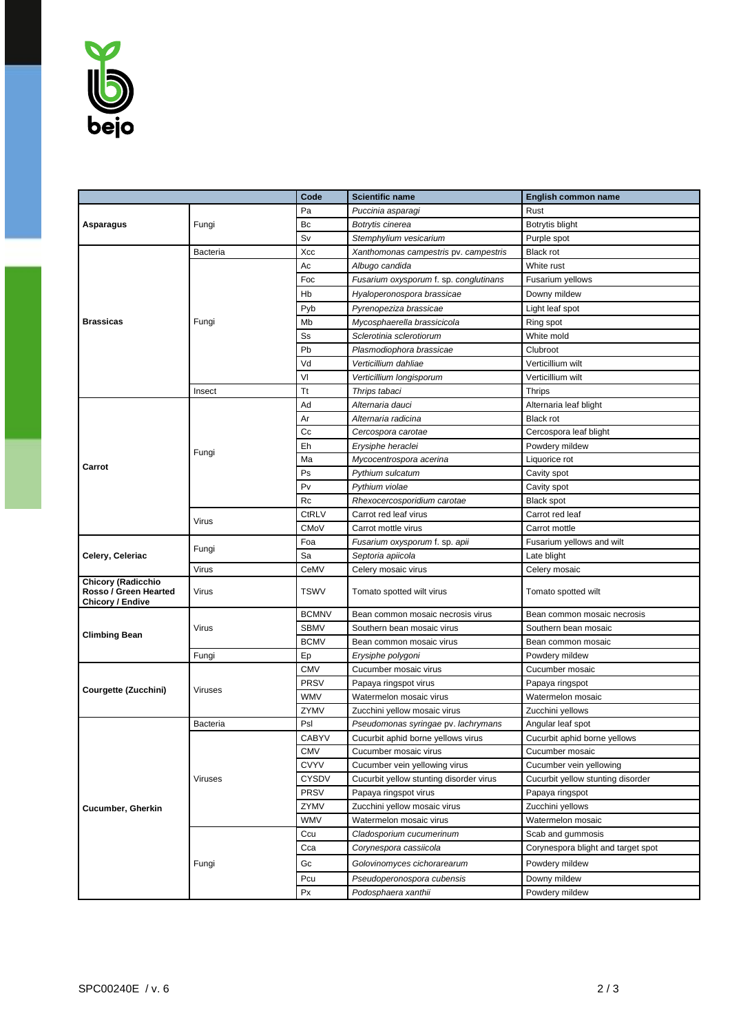

|                                                                               |                | Code         | <b>Scientific name</b>                  | English common name                |
|-------------------------------------------------------------------------------|----------------|--------------|-----------------------------------------|------------------------------------|
|                                                                               |                | Pa           | Puccinia asparagi                       | Rust                               |
| Asparagus                                                                     | Fungi          | Bc           | Botrytis cinerea                        | Botrytis blight                    |
|                                                                               |                | Sv           | Stemphylium vesicarium                  | Purple spot                        |
| <b>Brassicas</b>                                                              | Bacteria       | Xcc          | Xanthomonas campestris pv. campestris   | <b>Black rot</b>                   |
|                                                                               | Fungi          | Ac           | Albugo candida                          | White rust                         |
|                                                                               |                | Foc          | Fusarium oxysporum f. sp. conglutinans  | Fusarium yellows                   |
|                                                                               |                | Hb           | Hyaloperonospora brassicae              | Downy mildew                       |
|                                                                               |                | Pyb          | Pyrenopeziza brassicae                  | Light leaf spot                    |
|                                                                               |                | Mb           | Mycosphaerella brassicicola             | Ring spot                          |
|                                                                               |                | Ss           | Sclerotinia sclerotiorum                | White mold                         |
|                                                                               |                | Pb           | Plasmodiophora brassicae                | Clubroot                           |
|                                                                               |                | Vd           | Verticillium dahliae                    | Verticillium wilt                  |
|                                                                               |                | VI           | Verticillium longisporum                | Verticillium wilt                  |
|                                                                               | Insect         | <b>Tt</b>    | Thrips tabaci                           | <b>Thrips</b>                      |
| Carrot                                                                        | Fungi          | Ad           | Alternaria dauci                        | Alternaria leaf blight             |
|                                                                               |                | Ar           | Alternaria radicina                     | <b>Black rot</b>                   |
|                                                                               |                | Сc           | Cercospora carotae                      | Cercospora leaf blight             |
|                                                                               |                | Eh           | Erysiphe heraclei                       | Powdery mildew                     |
|                                                                               |                | Ma           | Mycocentrospora acerina                 | Liquorice rot                      |
|                                                                               |                | Ps           | Pythium sulcatum                        | Cavity spot                        |
|                                                                               |                | Pv           | Pythium violae                          | Cavity spot                        |
|                                                                               |                | Rc           | Rhexocercosporidium carotae             | <b>Black spot</b>                  |
|                                                                               | Virus          | <b>CtRLV</b> | Carrot red leaf virus                   | Carrot red leaf                    |
|                                                                               |                | <b>CMoV</b>  | Carrot mottle virus                     | Carrot mottle                      |
|                                                                               | Fungi          | Foa          | Fusarium oxysporum f. sp. apii          | Fusarium yellows and wilt          |
| Celery, Celeriac                                                              |                | Sa           | Septoria apiicola                       | Late blight                        |
|                                                                               | Virus          | CeMV         | Celery mosaic virus                     | Celery mosaic                      |
| <b>Chicory (Radicchio</b><br>Rosso / Green Hearted<br><b>Chicory / Endive</b> | Virus          | <b>TSWV</b>  | Tomato spotted wilt virus               | Tomato spotted wilt                |
| <b>Climbing Bean</b>                                                          | Virus          | <b>BCMNV</b> | Bean common mosaic necrosis virus       | Bean common mosaic necrosis        |
|                                                                               |                | <b>SBMV</b>  | Southern bean mosaic virus              | Southern bean mosaic               |
|                                                                               |                | <b>BCMV</b>  | Bean common mosaic virus                | Bean common mosaic                 |
|                                                                               | Fungi          | Ep           | Erysiphe polygoni                       | Powdery mildew                     |
| Courgette (Zucchini)                                                          | Viruses        | <b>CMV</b>   | Cucumber mosaic virus                   | Cucumber mosaic                    |
|                                                                               |                | <b>PRSV</b>  | Papaya ringspot virus                   | Papaya ringspot                    |
|                                                                               |                | <b>WMV</b>   | Watermelon mosaic virus                 | Watermelon mosaic                  |
|                                                                               |                | ZYMV         | Zucchini yellow mosaic virus            | Zucchini yellows                   |
| <b>Cucumber, Gherkin</b>                                                      | Bacteria       | Psl          | Pseudomonas syringae pv. lachrymans     | Angular leaf spot                  |
|                                                                               | <b>Viruses</b> | <b>CABYV</b> | Cucurbit aphid borne vellows virus      | Cucurbit aphid borne yellows       |
|                                                                               |                | <b>CMV</b>   | Cucumber mosaic virus                   | Cucumber mosaic                    |
|                                                                               |                | <b>CVYV</b>  | Cucumber vein yellowing virus           | Cucumber vein yellowing            |
|                                                                               |                | <b>CYSDV</b> | Cucurbit yellow stunting disorder virus | Cucurbit yellow stunting disorder  |
|                                                                               |                | PRSV         | Papaya ringspot virus                   | Papaya ringspot                    |
|                                                                               |                | ZYMV         | Zucchini yellow mosaic virus            | Zucchini yellows                   |
|                                                                               |                | <b>WMV</b>   | Watermelon mosaic virus                 | Watermelon mosaic                  |
|                                                                               | Fungi          | Ccu          | Cladosporium cucumerinum                | Scab and gummosis                  |
|                                                                               |                | Cca          | Corynespora cassiicola                  | Corynespora blight and target spot |
|                                                                               |                | Gc           | Golovinomyces cichorarearum             | Powdery mildew                     |
|                                                                               |                |              |                                         |                                    |
|                                                                               |                | Pcu          | Pseudoperonospora cubensis              | Downy mildew                       |
|                                                                               |                | Px           | Podosphaera xanthii                     | Powdery mildew                     |